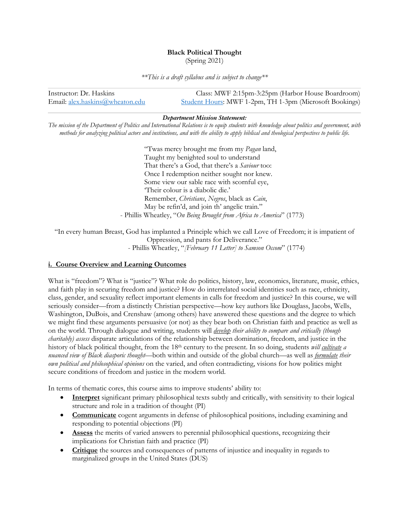# **Black Political Thought**

(Spring 2021)

*\*\*This is a draft syllabus and is subject to change\*\**

| Instructor: Dr. Haskins         | Class: MWF 2:15pm-3:25pm (Harbor House Boardroom)              |
|---------------------------------|----------------------------------------------------------------|
| Email: alex.haskins@wheaton.edu | <b>Student Hours: MWF 1-2pm, TH 1-3pm (Microsoft Bookings)</b> |

## *Department Mission Statement:*

*The mission of the Department of Politics and International Relations is to equip students with knowledge about politics and government, with methods for analyzing political actors and institutions, and with the ability to apply biblical and theological perspectives to public life.*

> "Twas mercy brought me from my *Pagan* land, Taught my benighted soul to understand That there's a God, that there's a *Saviour* too: Once I redemption neither sought nor knew. Some view our sable race with scornful eye, 'Their colour is a diabolic die.' Remember, *Christians*, *Negros*, black as *Cain*, May be refin'd, and join th' angelic train." - Phillis Wheatley, "*On Being Brought from Africa to America*" (1773)

"In every human Breast, God has implanted a Principle which we call Love of Freedom; it is impatient of Oppression, and pants for Deliverance." - Phillis Wheatley, "*[February 11 Letter] to Samson Occom*" (1774)

# **i. Course Overview and Learning Outcomes**

What is "freedom"? What is "justice"? What role do politics, history, law, economics, literature, music, ethics, and faith play in securing freedom and justice? How do interrelated social identities such as race, ethnicity, class, gender, and sexuality reflect important elements in calls for freedom and justice? In this course, we will seriously consider—from a distinctly Christian perspective—how key authors like Douglass, Jacobs, Wells, Washington, DuBois, and Crenshaw (among others) have answered these questions and the degree to which we might find these arguments persuasive (or not) as they bear both on Christian faith and practice as well as on the world. Through dialogue and writing, students will *develop their ability to compare and critically (though charitably) assess* disparate articulations of the relationship between domination, freedom, and justice in the history of black political thought, from the 18th century to the present. In so doing, students *will cultivate a nuanced view of Black diasporic thought*—both within and outside of the global church—as well as *formulate their own political and philosophical opinions* on the varied, and often contradicting, visions for how politics might secure conditions of freedom and justice in the modern world.

In terms of thematic cores, this course aims to improve students' ability to:

- **Interpret** significant primary philosophical texts subtly and critically, with sensitivity to their logical structure and role in a tradition of thought (PI)
- **Communicate** cogent arguments in defense of philosophical positions, including examining and responding to potential objections (PI)
- **Assess** the merits of varied answers to perennial philosophical questions, recognizing their implications for Christian faith and practice (PI)
- **Critique** the sources and consequences of patterns of injustice and inequality in regards to marginalized groups in the United States (DUS)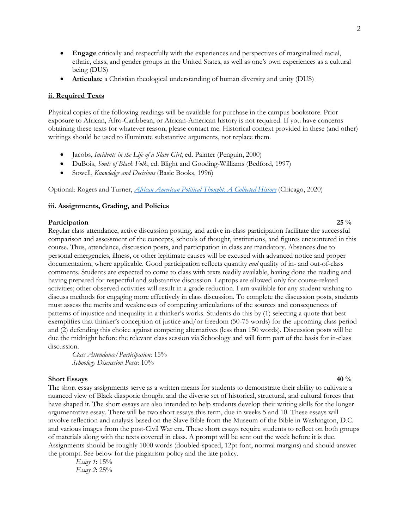- **Engage** critically and respectfully with the experiences and perspectives of marginalized racial, ethnic, class, and gender groups in the United States, as well as one's own experiences as a cultural being (DUS)
- **Articulate** a Christian theological understanding of human diversity and unity (DUS)

# **ii. Required Texts**

Physical copies of the following readings will be available for purchase in the campus bookstore. Prior exposure to African, Afro-Caribbean, or African-American history is not required. If you have concerns obtaining these texts for whatever reason, please contact me. Historical context provided in these (and other) writings should be used to illuminate substantive arguments, not replace them.

- Jacobs, *Incidents in the Life of a Slave Girl*, ed. Painter (Penguin, 2000)
- DuBois, *Souls of Black Folk*, ed. Blight and Gooding-Williams (Bedford, 1997)
- Sowell, *Knowledge and Decisions* (Basic Books, 1996)

Optional: Rogers and Turner, *African American Political Thought: A Collected History* (Chicago, 2020)

# **iii. Assignments, Grading, and Policies**

#### **Participation** 25 % **25** %

Regular class attendance, active discussion posting, and active in-class participation facilitate the successful comparison and assessment of the concepts, schools of thought, institutions, and figures encountered in this course. Thus, attendance, discussion posts, and participation in class are mandatory. Absences due to personal emergencies, illness, or other legitimate causes will be excused with advanced notice and proper documentation, where applicable. Good participation reflects quantity *and* quality of in- and out-of-class comments. Students are expected to come to class with texts readily available, having done the reading and having prepared for respectful and substantive discussion. Laptops are allowed only for course-related activities; other observed activities will result in a grade reduction. I am available for any student wishing to discuss methods for engaging more effectively in class discussion. To complete the discussion posts, students must assess the merits and weaknesses of competing articulations of the sources and consequences of patterns of injustice and inequality in a thinker's works. Students do this by (1) selecting a quote that best exemplifies that thinker's conception of justice and/or freedom (50-75 words) for the upcoming class period and (2) defending this choice against competing alternatives (less than 150 words). Discussion posts will be due the midnight before the relevant class session via Schoology and will form part of the basis for in-class discussion.

*Class Attendance/Participation*: 15% *Schoology Discussion Posts*: 10%

### **Short Essays** 40 % **40** %

The short essay assignments serve as a written means for students to demonstrate their ability to cultivate a nuanced view of Black diasporic thought and the diverse set of historical, structural, and cultural forces that have shaped it. The short essays are also intended to help students develop their writing skills for the longer argumentative essay. There will be two short essays this term, due in weeks 5 and 10. These essays will involve reflection and analysis based on the Slave Bible from the Museum of the Bible in Washington, D.C. and various images from the post-Civil War era. These short essays require students to reflect on both groups of materials along with the texts covered in class. A prompt will be sent out the week before it is due. Assignments should be roughly 1000 words (doubled-spaced, 12pt font, normal margins) and should answer the prompt. See below for the plagiarism policy and the late policy.

 *Essay 1*: 15% *Essay 2*: 25%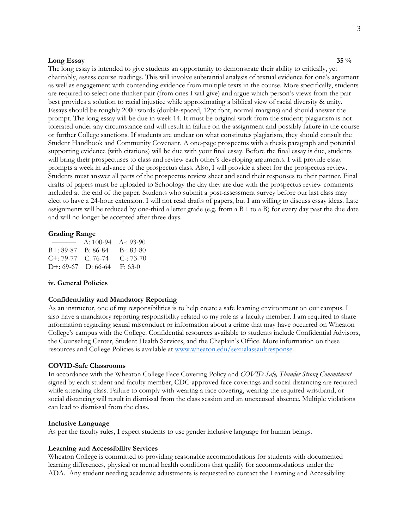### **Long Essay 35 %**

The long essay is intended to give students an opportunity to demonstrate their ability to critically, yet charitably, assess course readings. This will involve substantial analysis of textual evidence for one's argument as well as engagement with contending evidence from multiple texts in the course. More specifically, students are required to select one thinker-pair (from ones I will give) and argue which person's views from the pair best provides a solution to racial injustice while approximating a biblical view of racial diversity & unity. Essays should be roughly 2000 words (double-spaced, 12pt font, normal margins) and should answer the prompt. The long essay will be due in week 14. It must be original work from the student; plagiarism is not tolerated under any circumstance and will result in failure on the assignment and possibly failure in the course or further College sanctions. If students are unclear on what constitutes plagiarism, they should consult the Student Handbook and Community Covenant. A one-page prospectus with a thesis paragraph and potential supporting evidence (with citations) will be due with your final essay. Before the final essay is due, students will bring their prospectuses to class and review each other's developing arguments. I will provide essay prompts a week in advance of the prospectus class. Also, I will provide a sheet for the prospectus review. Students must answer all parts of the prospectus review sheet and send their responses to their partner. Final drafts of papers must be uploaded to Schoology the day they are due with the prospectus review comments included at the end of the paper. Students who submit a post-assessment survey before our last class may elect to have a 24-hour extension. I will not read drafts of papers, but I am willing to discuss essay ideas. Late assignments will be reduced by one-third a letter grade (e.g. from a  $B+$  to a B) for every day past the due date and will no longer be accepted after three days.

#### **Grading Range**

| $\overline{\phantom{a}}$          | A: $100-94$ A -: $93-90$ |                   |
|-----------------------------------|--------------------------|-------------------|
| B+: 89-87 B: 86-84                |                          | $B-33-80$         |
| $C_{\pm}$ : 79-77 $C_{\pm}$ 76-74 |                          | $C_{\rm}$ : 73-70 |
| $D^{+}$ : 69-67 $D$ : 66-64       |                          | $F: 63-0$         |

#### **iv. General Policies**

#### **Confidentiality and Mandatory Reporting**

As an instructor, one of my responsibilities is to help create a safe learning environment on our campus. I also have a mandatory reporting responsibility related to my role as a faculty member. I am required to share information regarding sexual misconduct or information about a crime that may have occurred on Wheaton College's campus with the College. Confidential resources available to students include Confidential Advisors, the Counseling Center, Student Health Services, and the Chaplain's Office. More information on these resources and College Policies is available at www.wheaton.edu/sexualassaultresponse.

#### **COVID-Safe Classrooms**

In accordance with the Wheaton College Face Covering Policy and *COVID Safe, Thunder Strong Commitment* signed by each student and faculty member, CDC-approved face coverings and social distancing are required while attending class. Failure to comply with wearing a face covering, wearing the required wristband, or social distancing will result in dismissal from the class session and an unexcused absence. Multiple violations can lead to dismissal from the class.

#### **Inclusive Language**

As per the faculty rules, I expect students to use gender inclusive language for human beings.

#### **Learning and Accessibility Services**

Wheaton College is committed to providing reasonable accommodations for students with documented learning differences, physical or mental health conditions that qualify for accommodations under the ADA. Any student needing academic adjustments is requested to contact the Learning and Accessibility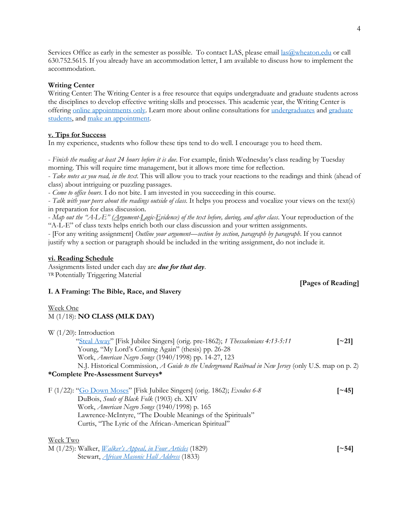Services Office as early in the semester as possible. To contact LAS, please email las@wheaton.edu or call 630.752.5615. If you already have an accommodation letter, I am available to discuss how to implement the accommodation.

# **Writing Center**

Writing Center: The Writing Center is a free resource that equips undergraduate and graduate students across the disciplines to develop effective writing skills and processes. This academic year, the Writing Center is offering online appointments only. Learn more about online consultations for undergraduates and graduate students, and make an appointment.

### **v. Tips for Success**

In my experience, students who follow these tips tend to do well. I encourage you to heed them.

- *Finish the reading at least 24 hours before it is due*. For example, finish Wednesday's class reading by Tuesday morning. This will require time management, but it allows more time for reflection.

- *Take notes as you read, in the text*. This will allow you to track your reactions to the readings and think (ahead of class) about intriguing or puzzling passages.

- *Come to office hours*. I do not bite. I am invested in you succeeding in this course.

- *Talk with your peers about the readings outside of class*. It helps you process and vocalize your views on the text(s) in preparation for class discussion.

- *Map out the "A-L-E" (Argument-Logic-Evidence) of the text before, during, and after class*. Your reproduction of the "A-L-E" of class texts helps enrich both our class discussion and your written assignments.

- [For any writing assignment] *Outline your argument—section by section, paragraph by paragraph*. If you cannot justify why a section or paragraph should be included in the writing assignment, do not include it.

# **vi. Reading Schedule**

Assignments listed under each day are *due for that day*. TR Potentially Triggering Material

# **[Pages of Reading]**

## **I. A Framing: The Bible, Race, and Slavery**

# Week One

# M (1/18): **NO CLASS (MLK DAY)**

| W $(1/20)$ : Introduction                                                                             |                     |
|-------------------------------------------------------------------------------------------------------|---------------------|
| "Steal Away" [Fisk Jubilee Singers] (orig. pre-1862); 1 Thessalonians 4:13-5:11                       | $\lceil -21 \rceil$ |
| Young, "My Lord's Coming Again" (thesis) pp. 26-28                                                    |                     |
| Work, American Negro Songs (1940/1998) pp. 14-27, 123                                                 |                     |
| N.J. Historical Commission, A Guide to the Underground Railroad in New Jersey (only U.S. map on p. 2) |                     |
| *Complete Pre-Assessment Surveys*                                                                     |                     |
| F (1/22): "Go Down Moses" [Fisk Jubilee Singers] (orig. 1862); <i>Exodus 6-8</i>                      | [~45]               |
| DuBois, Souls of Black Folk (1903) ch. XIV                                                            |                     |
| Work, American Negro Songs (1940/1998) p. 165                                                         |                     |
| Lawrence-McIntyre, "The Double Meanings of the Spirituals"                                            |                     |
| Curtis, "The Lyric of the African-American Spiritual"                                                 |                     |
| Week Two                                                                                              |                     |
| M (1/25): Walker, <i>Walker's Appeal, in Four Articles</i> (1829)                                     | $\sim$ 541          |

Stewart, *African Masonic Hall Address* (1833)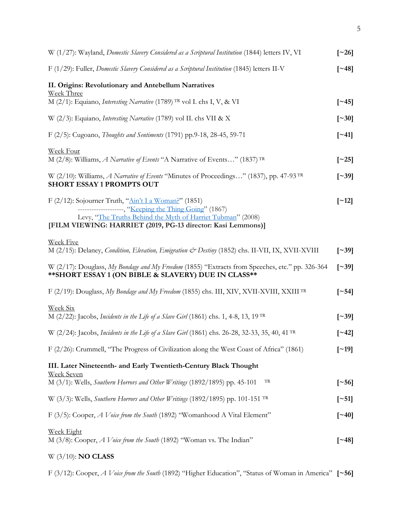| W (1/27): Wayland, Domestic Slavery Considered as a Scriptural Institution (1844) letters IV, VI                                                                                                                                                                 | $\lceil 26 \rceil$       |
|------------------------------------------------------------------------------------------------------------------------------------------------------------------------------------------------------------------------------------------------------------------|--------------------------|
| F (1/29): Fuller, Domestic Slavery Considered as a Scriptural Institution (1845) letters II-V                                                                                                                                                                    | $\lceil -48 \rceil$      |
| II. Origins: Revolutionary and Antebellum Narratives<br>Week Three                                                                                                                                                                                               |                          |
| M (2/1): Equiano, <i>Interesting Narrative</i> (1789) <sup>TR</sup> vol I. chs I, V, & VI                                                                                                                                                                        | $\lceil 245 \rceil$      |
| W (2/3): Equiano, <i>Interesting Narrative</i> (1789) vol II. chs VII & X                                                                                                                                                                                        | $\lceil -30 \rceil$      |
| F (2/5): Cugoano, Thoughts and Sentiments (1791) pp.9-18, 28-45, 59-71                                                                                                                                                                                           | $\lceil 241 \rceil$      |
| Week Four<br>M (2/8): Williams, A Narrative of Events "A Narrative of Events" (1837) TR                                                                                                                                                                          | $\lceil 25 \rceil$       |
| W $(2/10)$ : Williams, A Narrative of Events "Minutes of Proceedings" (1837), pp. 47-93 <sup>TR</sup><br><b>SHORT ESSAY 1 PROMPTS OUT</b>                                                                                                                        | $\lceil -39 \rceil$      |
| F (2/12): Sojourner Truth, " $\frac{\text{Ain'}t I a Woman'}}$ " (1851)<br>--------------------, "Keeping the Thing Going" (1867)<br>Levy, "The Truths Behind the Myth of Harriet Tubman" (2008)<br>[FILM VIEWING: HARRIET (2019, PG-13 director: Kasi Lemmons)] | $\lceil$ ~12]            |
| <b>Week Five</b>                                                                                                                                                                                                                                                 |                          |
| M (2/15): Delaney, Condition, Elevation, Emigration & Destiny (1852) chs. II-VII, IX, XVII-XVIII                                                                                                                                                                 | $\lceil$ ~39]            |
| W (2/17): Douglass, My Bondage and My Freedom (1855) "Extracts from Speeches, etc." pp. 326-364<br>** SHORT ESSAY 1 (ON BIBLE & SLAVERY) DUE IN CLASS**                                                                                                          | $\lceil 39 \rceil$       |
| F (2/19): Douglass, My Bondage and My Freedom (1855) chs. III, XIV, XVII-XVIII, XXIII <sup>TR</sup>                                                                                                                                                              | $\lceil -54 \rceil$      |
| <b>Week Six</b><br>M (2/22): Jacobs, Incidents in the Life of a Slave Girl (1861) chs. 1, 4-8, 13, 19TR                                                                                                                                                          | $\left[ \sim 39 \right]$ |
| W (2/24): Jacobs, <i>Incidents in the Life of a Slave Girl</i> (1861) chs. 26-28, 32-33, 35, 40, 41 <sup>TR</sup>                                                                                                                                                | $\lbrack -42\rbrack$     |
| F (2/26): Crummell, "The Progress of Civilization along the West Coast of Africa" (1861)                                                                                                                                                                         | $\lceil$ ~19]            |
| III. Later Nineteenth- and Early Twentieth-Century Black Thought                                                                                                                                                                                                 |                          |
| <u>Week Seven</u><br>M (3/1): Wells, Southern Horrors and Other Writings (1892/1895) pp. 45-101<br>TR                                                                                                                                                            | $\left[ \sim 56 \right]$ |
| W (3/3): Wells, Southern Horrors and Other Writings (1892/1895) pp. 101-151 TR                                                                                                                                                                                   | $[\sim 51]$              |
| F (3/5): Cooper, A Voice from the South (1892) "Womanhood A Vital Element"                                                                                                                                                                                       | $\lceil -40 \rceil$      |
| <u>Week Eight</u><br>M (3/8): Cooper, <i>A Voice from the South</i> (1892) "Woman vs. The Indian"                                                                                                                                                                | $\lceil 248 \rceil$      |
| $W(3/10)$ : NO CLASS                                                                                                                                                                                                                                             |                          |

F (3/12): Cooper, *A Voice from the South* (1892) "Higher Education", "Status of Woman in America" **[~56]**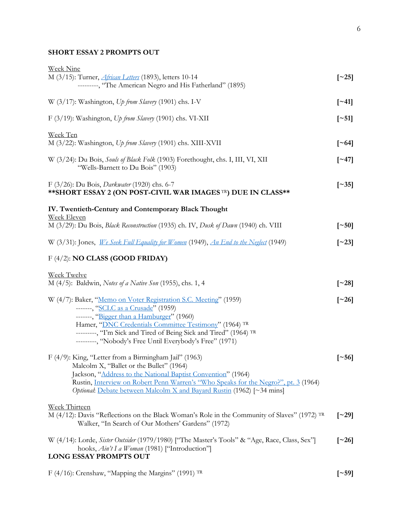# **SHORT ESSAY 2 PROMPTS OUT**

| <b>Week Nine</b>                                                                                                     |                          |
|----------------------------------------------------------------------------------------------------------------------|--------------------------|
| M (3/15): Turner, <i>African Letters</i> (1893), letters 10-14                                                       | $\lceil 25 \rceil$       |
| --------, "The American Negro and His Fatherland" (1895)                                                             |                          |
| W (3/17): Washington, Up from Slavery (1901) chs. I-V                                                                | $\left[ \sim 41 \right]$ |
| F (3/19): Washington, Up from Slavery (1901) chs. VI-XII                                                             | $\lceil$ ~51]            |
| Week Ten                                                                                                             |                          |
| M (3/22): Washington, Up from Slavery (1901) chs. XIII-XVII                                                          | $\lceil -64 \rceil$      |
| W (3/24): Du Bois, Souls of Black Folk (1903) Forethought, chs. I, III, VI, XII<br>"Wells-Barnett to Du Bois" (1903) | $\lceil 247 \rceil$      |
| F (3/26): Du Bois, <i>Darkwater</i> (1920) chs. 6-7<br>** SHORT ESSAY 2 (ON POST-CIVIL WAR IMAGES TR) DUE IN CLASS** | $\left[ \sim 35 \right]$ |
| IV. Twentieth-Century and Contemporary Black Thought                                                                 |                          |
| <b>Week Eleven</b><br>M (3/29): Du Bois, Black Reconstruction (1935) ch. IV, Dusk of Dawn (1940) ch. VIII            | $\left[ \sim 50 \right]$ |
| W (3/31): Jones, We Seek Full Equality for Women (1949), An End to the Neglect (1949)                                | $\left[ \sim 23 \right]$ |
| $F(4/2)$ : <b>NO CLASS (GOOD FRIDAY)</b>                                                                             |                          |
| <b>Week Twelve</b>                                                                                                   |                          |
| M (4/5): Baldwin, Notes of a Native Son (1955), chs. 1, 4                                                            | $\left[~-28\right]$      |
| W (4/7): Baker, "Memo on Voter Registration S.C. Meeting" (1959)                                                     | $\lceil 26 \rceil$       |
| -------, "SCLC as a Crusade" (1959)                                                                                  |                          |
| -------, "Bigger than a Hamburger" (1960)                                                                            |                          |
| Hamer, "DNC Credentials Committee Testimony" (1964) TR                                                               |                          |
| ---------, "I'm Sick and Tired of Being Sick and Tired" (1964) TR                                                    |                          |
| --------, "Nobody's Free Until Everybody's Free" (1971)                                                              |                          |
| F (4/9): King, "Letter from a Birmingham Jail" (1963)                                                                | $\lceil 56 \rceil$       |
| Malcolm X, "Ballet or the Bullet" (1964)                                                                             |                          |
| Jackson, "Address to the National Baptist Convention" (1964)                                                         |                          |
| Rustin, Interview on Robert Penn Warren's "Who Speaks for the Negro?", pt. 3 (1964)                                  |                          |
| Optional: Debate between Malcolm X and Bayard Rustin (1962) [~34 mins]                                               |                          |
| <b>Week Thirteen</b>                                                                                                 |                          |
| M $(4/12)$ : Davis "Reflections on the Black Woman's Role in the Community of Slaves" (1972) TR                      | $\lceil 29 \rceil$       |
| Walker, "In Search of Our Mothers' Gardens" (1972)                                                                   |                          |
| W (4/14): Lorde, Sister Outsider (1979/1980) ["The Master's Tools" & "Age, Race, Class, Sex"]                        | $\lceil 26 \rceil$       |
| hooks, Ain't I a Woman (1981) ["Introduction"]                                                                       |                          |
| LONG ESSAY PROMPTS OUT                                                                                               |                          |
| F (4/16): Crenshaw, "Mapping the Margins" (1991) TR                                                                  | $\lceil -59 \rceil$      |